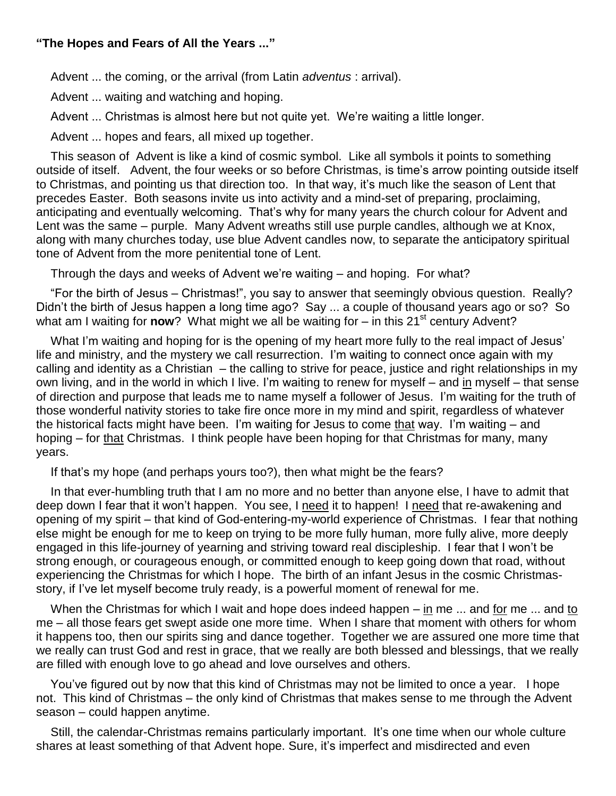## **"The Hopes and Fears of All the Years ..."**

Advent ... the coming, or the arrival (from Latin *adventus* : arrival).

Advent ... waiting and watching and hoping.

Advent ... Christmas is almost here but not quite yet. We're waiting a little longer.

Advent ... hopes and fears, all mixed up together.

This season of Advent is like a kind of cosmic symbol. Like all symbols it points to something outside of itself. Advent, the four weeks or so before Christmas, is time's arrow pointing outside itself to Christmas, and pointing us that direction too. In that way, it's much like the season of Lent that precedes Easter. Both seasons invite us into activity and a mind-set of preparing, proclaiming, anticipating and eventually welcoming. That's why for many years the church colour for Advent and Lent was the same – purple. Many Advent wreaths still use purple candles, although we at Knox, along with many churches today, use blue Advent candles now, to separate the anticipatory spiritual tone of Advent from the more penitential tone of Lent.

Through the days and weeks of Advent we're waiting – and hoping. For what?

"For the birth of Jesus – Christmas!", you say to answer that seemingly obvious question. Really? Didn't the birth of Jesus happen a long time ago? Say ... a couple of thousand years ago or so? So what am I waiting for **now**? What might we all be waiting for – in this 21<sup>st</sup> century Advent?

What I'm waiting and hoping for is the opening of my heart more fully to the real impact of Jesus' life and ministry, and the mystery we call resurrection. I'm waiting to connect once again with my calling and identity as a Christian – the calling to strive for peace, justice and right relationships in my own living, and in the world in which I live. I'm waiting to renew for myself – and in myself – that sense of direction and purpose that leads me to name myself a follower of Jesus. I'm waiting for the truth of those wonderful nativity stories to take fire once more in my mind and spirit, regardless of whatever the historical facts might have been. I'm waiting for Jesus to come that way. I'm waiting – and hoping – for that Christmas. I think people have been hoping for that Christmas for many, many years.

If that's my hope (and perhaps yours too?), then what might be the fears?

In that ever-humbling truth that I am no more and no better than anyone else, I have to admit that deep down I fear that it won't happen. You see, I need it to happen! I need that re-awakening and opening of my spirit – that kind of God-entering-my-world experience of Christmas. I fear that nothing else might be enough for me to keep on trying to be more fully human, more fully alive, more deeply engaged in this life-journey of yearning and striving toward real discipleship. I fear that I won't be strong enough, or courageous enough, or committed enough to keep going down that road, without experiencing the Christmas for which I hope. The birth of an infant Jesus in the cosmic Christmasstory, if I've let myself become truly ready, is a powerful moment of renewal for me.

When the Christmas for which I wait and hope does indeed happen – in me ... and for me ... and to me – all those fears get swept aside one more time. When I share that moment with others for whom it happens too, then our spirits sing and dance together. Together we are assured one more time that we really can trust God and rest in grace, that we really are both blessed and blessings, that we really are filled with enough love to go ahead and love ourselves and others.

You've figured out by now that this kind of Christmas may not be limited to once a year. I hope not. This kind of Christmas – the only kind of Christmas that makes sense to me through the Advent season – could happen anytime.

Still, the calendar-Christmas remains particularly important. It's one time when our whole culture shares at least something of that Advent hope. Sure, it's imperfect and misdirected and even